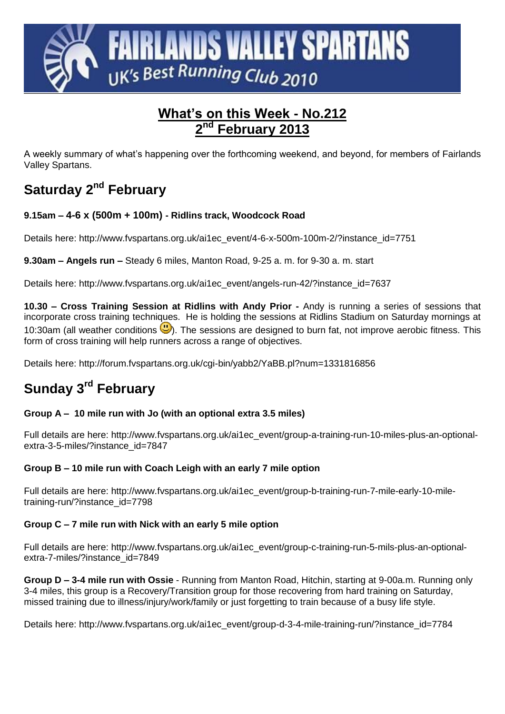

### **What's on this Week - No.212 2 nd February 2013**

A weekly summary of what's happening over the forthcoming weekend, and beyond, for members of Fairlands Valley Spartans.

# **Saturday 2<sup>nd</sup> February**

#### **9.15am – 4-6 x (500m + 100m) - Ridlins track, Woodcock Road**

Details here: http://www.fvspartans.org.uk/ai1ec\_event/4-6-x-500m-100m-2/?instance\_id=7751

**9.30am – Angels run –** Steady 6 miles, Manton Road, 9-25 a. m. for 9-30 a. m. start

Details here: http://www.fvspartans.org.uk/ai1ec\_event/angels-run-42/?instance\_id=7637

**10.30 – Cross Training Session at Ridlins with Andy Prior -** Andy is running a series of sessions that incorporate cross training techniques. He is holding the sessions at Ridlins Stadium on Saturday mornings at 10:30am (all weather conditions  $\bigcup$ ). The sessions are designed to burn fat, not improve aerobic fitness. This form of cross training will help runners across a range of objectives.

Details here:<http://forum.fvspartans.org.uk/cgi-bin/yabb2/YaBB.pl?num=1331816856>

## **Sunday 3 rd February**

#### **Group A – 10 mile run with Jo (with an optional extra 3.5 miles)**

Full details are here: http://www.fvspartans.org.uk/ai1ec\_event/group-a-training-run-10-miles-plus-an-optionalextra-3-5-miles/?instance\_id=7847

#### **Group B – 10 mile run with Coach Leigh with an early 7 mile option**

Full details are here: http://www.fvspartans.org.uk/ai1ec\_event/group-b-training-run-7-mile-early-10-miletraining-run/?instance\_id=7798

#### **Group C – 7 mile run with Nick with an early 5 mile option**

Full details are here: http://www.fvspartans.org.uk/ai1ec\_event/group-c-training-run-5-mils-plus-an-optionalextra-7-miles/?instance\_id=7849

**Group D – 3-4 mile run with Ossie** - Running from Manton Road, Hitchin, starting at 9-00a.m. Running only 3-4 miles, this group is a Recovery/Transition group for those recovering from hard training on Saturday, missed training due to illness/injury/work/family or just forgetting to train because of a busy life style.

Details here: http://www.fvspartans.org.uk/ai1ec\_event/group-d-3-4-mile-training-run/?instance\_id=7784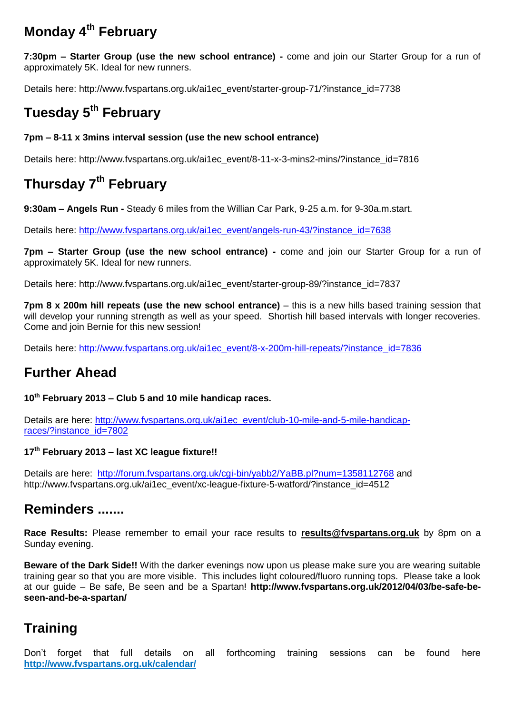## **Monday 4 th February**

**7:30pm – Starter Group (use the new school entrance) -** come and join our Starter Group for a run of approximately 5K. Ideal for new runners.

Details here: http://www.fvspartans.org.uk/ai1ec\_event/starter-group-71/?instance\_id=7738

## **Tuesday 5 th February**

#### **7pm – 8-11 x 3mins interval session (use the new school entrance)**

Details here: http://www.fyspartans.org.uk/ai1ec\_event/8-11-x-3-mins2-mins/?instance\_id=7816

## **Thursday 7 th February**

**9:30am – Angels Run -** Steady 6 miles from the Willian Car Park, 9-25 a.m. for 9-30a.m.start.

Details here: http://www.fyspartans.org.uk/ai1ec\_event/angels-run-43/?instance\_id=7638

**7pm – Starter Group (use the new school entrance) -** come and join our Starter Group for a run of approximately 5K. Ideal for new runners.

Details here: http://www.fvspartans.org.uk/ai1ec\_event/starter-group-89/?instance\_id=7837

**7pm 8 x 200m hill repeats (use the new school entrance)** – this is a new hills based training session that will develop your running strength as well as your speed. Shortish hill based intervals with longer recoveries. Come and join Bernie for this new session!

Details here: [http://www.fvspartans.org.uk/ai1ec\\_event/8-x-200m-hill-repeats/?instance\\_id=7836](http://www.fvspartans.org.uk/ai1ec_event/8-x-200m-hill-repeats/?instance_id=7836)

### **Further Ahead**

#### **10th February 2013 – Club 5 and 10 mile handicap races.**

Details are here: [http://www.fvspartans.org.uk/ai1ec\\_event/club-10-mile-and-5-mile-handicap](http://www.fvspartans.org.uk/ai1ec_event/club-10-mile-and-5-mile-handicap-races/?instance_id=7802)[races/?instance\\_id=7802](http://www.fvspartans.org.uk/ai1ec_event/club-10-mile-and-5-mile-handicap-races/?instance_id=7802)

#### **17th February 2013 – last XC league fixture!!**

Details are here: <http://forum.fvspartans.org.uk/cgi-bin/yabb2/YaBB.pl?num=1358112768> and http://www.fvspartans.org.uk/ai1ec\_event/xc-league-fixture-5-watford/?instance\_id=4512

### **Reminders .......**

**Race Results:** Please remember to email your race results to **[results@fvspartans.org.uk](mailto:results@fvspartans.org.uk)** by 8pm on a Sunday evening.

**Beware of the Dark Side!!** With the darker evenings now upon us please make sure you are wearing suitable training gear so that you are more visible. This includes light coloured/fluoro running tops. Please take a look at our guide – Be safe, Be seen and be a Spartan! **http://www.fvspartans.org.uk/2012/04/03/be-safe-beseen-and-be-a-spartan/**

### **Training**

Don't forget that full details on all forthcoming training sessions can be found here **<http://www.fvspartans.org.uk/calendar/>**